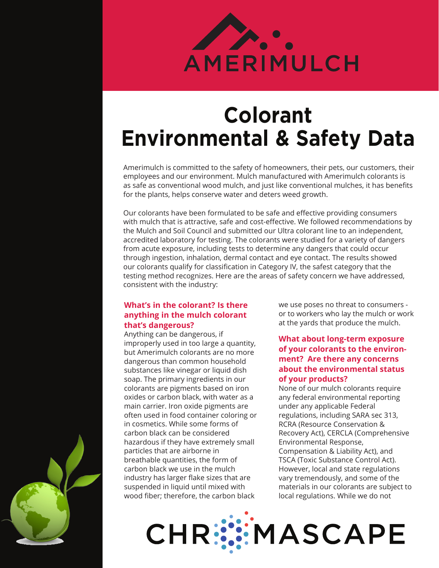

# **Colorant Environmental & Safety Data**

Amerimulch is committed to the safety of homeowners, their pets, our customers, their employees and our environment. Mulch manufactured with Amerimulch colorants is as safe as conventional wood mulch, and just like conventional mulches, it has benefits for the plants, helps conserve water and deters weed growth.

Our colorants have been formulated to be safe and effective providing consumers with mulch that is attractive, safe and cost-effective. We followed recommendations by the Mulch and Soil Council and submitted our Ultra colorant line to an independent, accredited laboratory for testing. The colorants were studied for a variety of dangers from acute exposure, including tests to determine any dangers that could occur through ingestion, inhalation, dermal contact and eye contact. The results showed our colorants qualify for classification in Category IV, the safest category that the testing method recognizes. Here are the areas of safety concern we have addressed, consistent with the industry:

## **What's in the colorant? Is there anything in the mulch colorant that's dangerous?**

Anything can be dangerous, if improperly used in too large a quantity, but Amerimulch colorants are no more dangerous than common household substances like vinegar or liquid dish soap. The primary ingredients in our colorants are pigments based on iron oxides or carbon black, with water as a main carrier. Iron oxide pigments are often used in food container coloring or in cosmetics. While some forms of carbon black can be considered hazardous if they have extremely small particles that are airborne in breathable quantities, the form of carbon black we use in the mulch industry has larger flake sizes that are suspended in liquid until mixed with wood fiber; therefore, the carbon black

we use poses no threat to consumers or to workers who lay the mulch or work at the yards that produce the mulch.

### **What about long-term exposure of your colorants to the environment? Are there any concerns about the environmental status of your products?**

None of our mulch colorants require any federal environmental reporting under any applicable Federal regulations, including SARA sec 313, RCRA (Resource Conservation & Recovery Act), CERCLA (Comprehensive Environmental Response, Compensation & Liability Act), and TSCA (Toxic Substance Control Act). However, local and state regulations vary tremendously, and some of the materials in our colorants are subject to local regulations. While we do not

**CHR:SE MASCAPE**